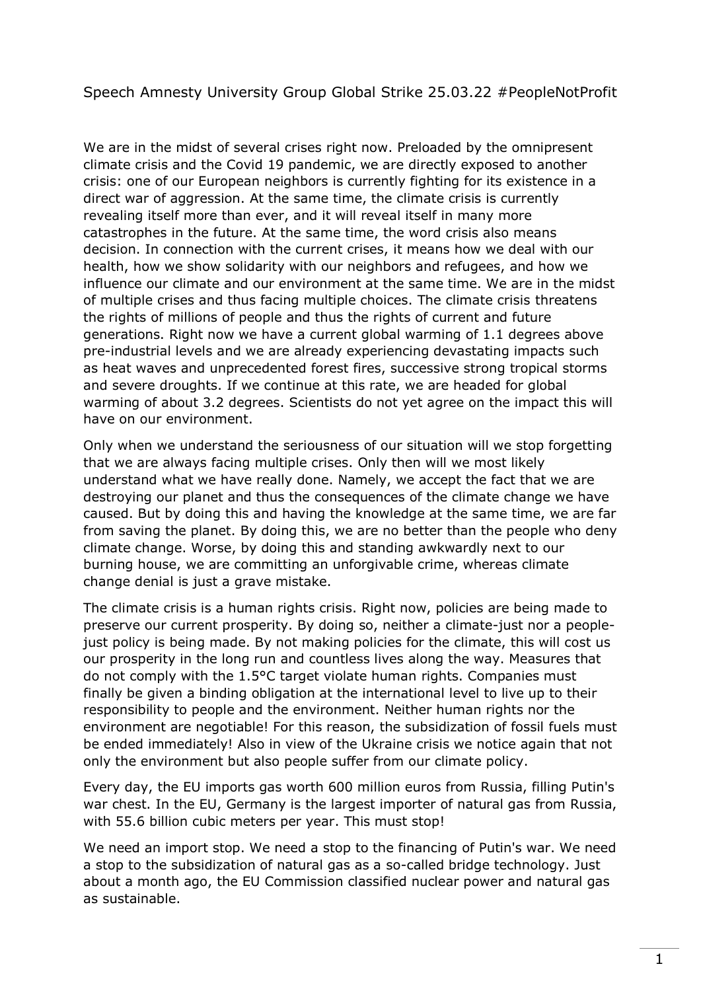## Speech Amnesty University Group Global Strike 25.03.22 #PeopleNotProfit

We are in the midst of several crises right now. Preloaded by the omnipresent climate crisis and the Covid 19 pandemic, we are directly exposed to another crisis: one of our European neighbors is currently fighting for its existence in a direct war of aggression. At the same time, the climate crisis is currently revealing itself more than ever, and it will reveal itself in many more catastrophes in the future. At the same time, the word crisis also means decision. In connection with the current crises, it means how we deal with our health, how we show solidarity with our neighbors and refugees, and how we influence our climate and our environment at the same time. We are in the midst of multiple crises and thus facing multiple choices. The climate crisis threatens the rights of millions of people and thus the rights of current and future generations. Right now we have a current global warming of 1.1 degrees above pre-industrial levels and we are already experiencing devastating impacts such as heat waves and unprecedented forest fires, successive strong tropical storms and severe droughts. If we continue at this rate, we are headed for global warming of about 3.2 degrees. Scientists do not yet agree on the impact this will have on our environment.

Only when we understand the seriousness of our situation will we stop forgetting that we are always facing multiple crises. Only then will we most likely understand what we have really done. Namely, we accept the fact that we are destroying our planet and thus the consequences of the climate change we have caused. But by doing this and having the knowledge at the same time, we are far from saving the planet. By doing this, we are no better than the people who deny climate change. Worse, by doing this and standing awkwardly next to our burning house, we are committing an unforgivable crime, whereas climate change denial is just a grave mistake.

The climate crisis is a human rights crisis. Right now, policies are being made to preserve our current prosperity. By doing so, neither a climate-just nor a peoplejust policy is being made. By not making policies for the climate, this will cost us our prosperity in the long run and countless lives along the way. Measures that do not comply with the 1.5°C target violate human rights. Companies must finally be given a binding obligation at the international level to live up to their responsibility to people and the environment. Neither human rights nor the environment are negotiable! For this reason, the subsidization of fossil fuels must be ended immediately! Also in view of the Ukraine crisis we notice again that not only the environment but also people suffer from our climate policy.

Every day, the EU imports gas worth 600 million euros from Russia, filling Putin's war chest. In the EU, Germany is the largest importer of natural gas from Russia, with 55.6 billion cubic meters per year. This must stop!

We need an import stop. We need a stop to the financing of Putin's war. We need a stop to the subsidization of natural gas as a so-called bridge technology. Just about a month ago, the EU Commission classified nuclear power and natural gas as sustainable.